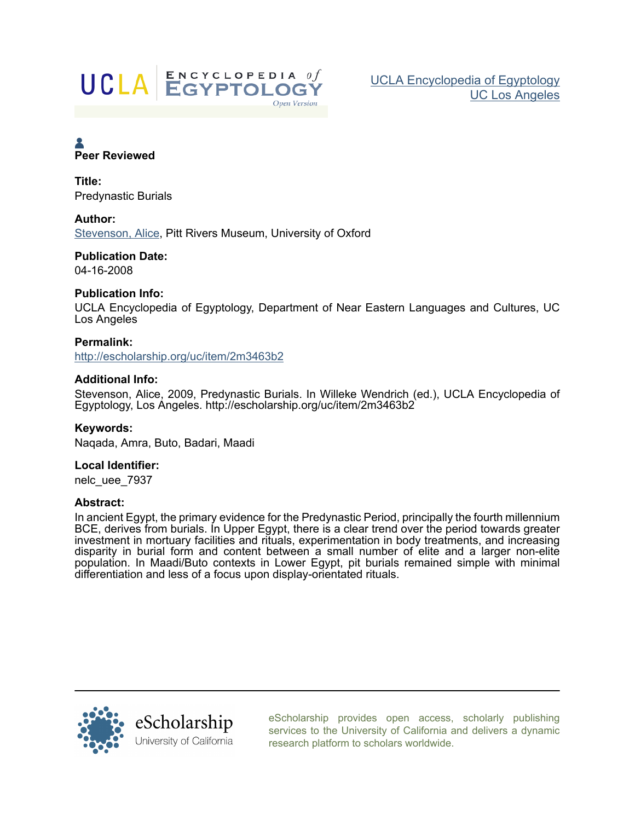

# Peer Reviewed

Title: **Predynastic Burials** 

# Author:

Stevenson, Alice, Pitt Rivers Museum, University of Oxford

## **Publication Date:** 04-16-2008

# **Publication Info:**

UCLA Encyclopedia of Egyptology, Department of Near Eastern Languages and Cultures, UC Los Angeles

Permalink: http://escholarship.org/uc/item/2m3463b2

# **Additional Info:**

Stevenson, Alice, 2009, Predynastic Burials. In Willeke Wendrich (ed.), UCLA Encyclopedia of Egyptology, Los Angeles. http://escholarship.org/uc/item/2m3463b2

Keywords: Nagada, Amra, Buto, Badari, Maadi

# Local Identifier:

nelc uee 7937

## **Abstract:**

In ancient Egypt, the primary evidence for the Predynastic Period, principally the fourth millennium BCE, derives from burials. In Upper Egypt, there is a clear trend over the period towards greater investment in mortuary facilities and rituals, experimentation in body treatments, and increasing disparity in burial form and content between a small number of elite and a larger non-elite population. In Maadi/Buto contexts in Lower Egypt, pit burials remained simple with minimal differentiation and less of a focus upon display-orientated rituals.



eScholarship provides open access, scholarly publishing services to the University of California and delivers a dynamic research platform to scholars worldwide.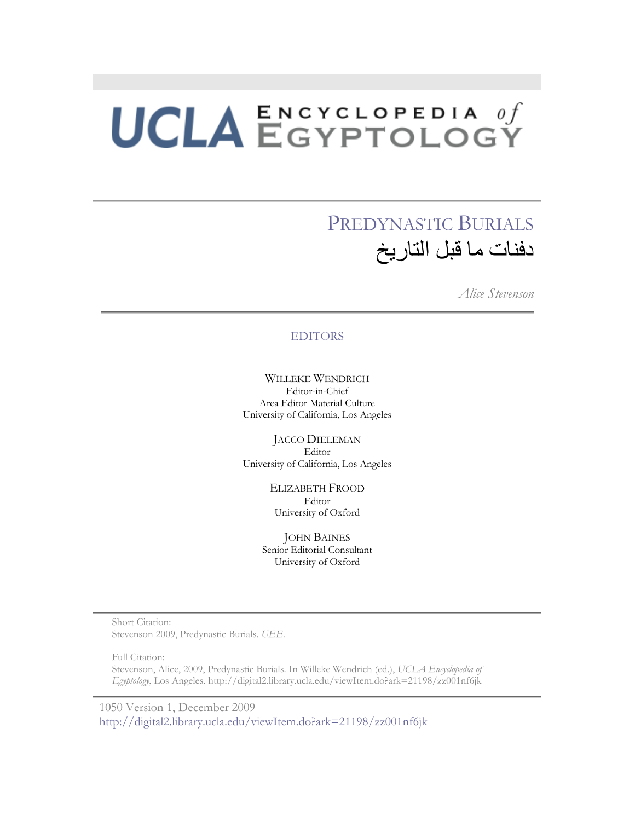# PREDYNASTIC BURIALS دفنات ما قبل التاريخ

*Alice Stevenson* 

## **EDITORS**

WILLEKE WENDRICH Editor-in-Chief Area Editor Material Culture University of California, Los Angeles

JACCO DIELEMAN Editor University of California, Los Angeles

> ELIZABETH FROOD Editor University of Oxford

JOHN BAINES Senior Editorial Consultant University of Oxford

Short Citation: Stevenson 2009, Predynastic Burials. *UEE*.

Full Citation: Stevenson, Alice, 2009, Predynastic Burials. In Willeke Wendrich (ed.), *UCLA Encyclopedia of Egyptology*, Los Angeles. http://digital2.library.ucla.edu/viewItem.do?ark=21198/zz001nf6jk

1050 Version 1, December 2009 http://digital2.library.ucla.edu/viewItem.do?ark=21198/zz001nf6jk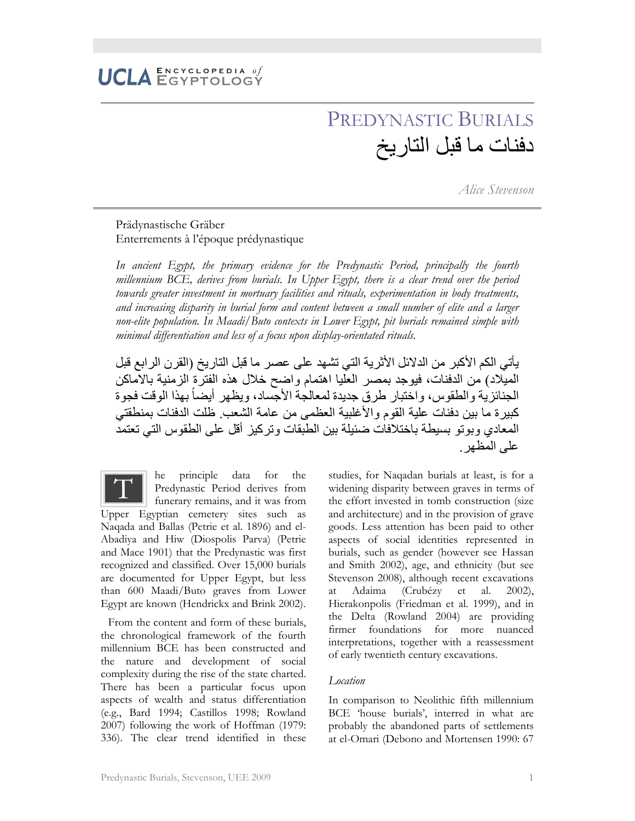# PREDYNASTIC BURIALS دفنات ما قبل التار يخ

*Alice Stevenson* 

# Prädynastische Gräber Enterrements à l'époque prédynastique

*In ancient Egypt, the primary evidence for the Predynastic Period, principally the fourth millennium BCE, derives from burials. In Upper Egypt, there is a clear trend over the period towards greater investment in mortuary facilities and rituals, experimentation in body treatments, and increasing disparity in burial form and content between a small number of elite and a larger non-elite population. In Maadi/Buto contexts in Lower Egypt, pit burials remained simple with minimal differentiation and less of a focus upon display-orientated rituals.* 

يأتي الكم الأكبر من الدلائل الأثرية التي تشهد على عصر ما قبل التاريخ (القرن الرابع قبل المَمْلِاد) من الدفنات، فيوجد بمصـر العّليا اهتمام واضـح خلال هذه الفترة الزمنية بالاماكن الجنائز بـة و الطقوس، و اختبار طر ق جدبدة لمعالجة الأجساد، و بظهر أبضـاً بـهذا الوقت فجو ة كبير ة ما بين دفنات علية القو مو الأغلبية العظمى من عامة الشعب ظلت الدفنات بمنطقتي المعادي و بو تو بسيطة باختلافات ضئيلة بين الطبقات و تر كيز أقل على الطقوس التي تعتمد علي المظهر

he principle data for the Predynastic Period derives from funerary remains, and it was from Upper Egyptian cemetery sites such as Naqada and Ballas (Petrie et al. 1896) and el-Abadiya and Hiw (Diospolis Parva) (Petrie and Mace 1901) that the Predynastic was first recognized and classified. Over 15,000 burials are documented for Upper Egypt, but less than 600 Maadi/Buto graves from Lower Egypt are known (Hendrickx and Brink 2002).  $\overline{\text{T}}$ 

From the content and form of these burials, the chronological framework of the fourth millennium BCE has been constructed and the nature and development of social complexity during the rise of the state charted. There has been a particular focus upon aspects of wealth and status differentiation (e.g., Bard 1994; Castillos 1998; Rowland 2007) following the work of Hoffman (1979: 336). The clear trend identified in these studies, for Naqadan burials at least, is for a widening disparity between graves in terms of the effort invested in tomb construction (size and architecture) and in the provision of grave goods. Less attention has been paid to other aspects of social identities represented in burials, such as gender (however see Hassan and Smith 2002), age, and ethnicity (but see Stevenson 2008), although recent excavations at Adaima (Crubézy et al. 2002), Hierakonpolis (Friedman et al. 1999), and in the Delta (Rowland 2004) are providing firmer foundations for more nuanced interpretations, together with a reassessment of early twentieth century excavations.

### *Location*

In comparison to Neolithic fifth millennium BCE 'house burials', interred in what are probably the abandoned parts of settlements at el-Omari (Debono and Mortensen 1990: 67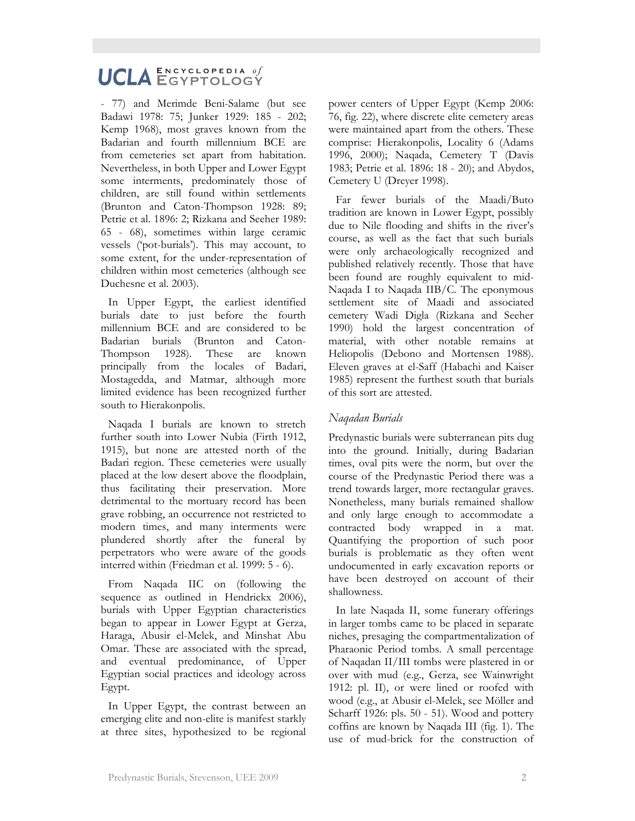# UCLA ENCYCLOPEDIA of  $\mathbf E \, \mathbf N \, \mathbf C \, \mathbf Y \, \mathbf C \, \mathbf L \, \mathbf O \, \mathbf P \, \mathbf E \, \mathbf D \, \mathbf I \, \mathbf A \quad \theta \, \boldsymbol{f}$

- 77) and Merimde Beni-Salame (but see Badawi 1978: 75; Junker 1929: 185 - 202; Kemp 1968), most graves known from the Badarian and fourth millennium BCE are from cemeteries set apart from habitation. Nevertheless, in both Upper and Lower Egypt some interments, predominately those of children, are still found within settlements (Brunton and Caton-Thompson 1928: 89; Petrie et al. 1896: 2; Rizkana and Seeher 1989: 65 - 68), sometimes within large ceramic vessels ('pot-burials'). This may account, to some extent, for the under-representation of children within most cemeteries (although see Duchesne et al. 2003).

In Upper Egypt, the earliest identified burials date to just before the fourth millennium BCE and are considered to be Badarian burials (Brunton and Caton-Thompson 1928). These are known principally from the locales of Badari, Mostagedda, and Matmar, although more limited evidence has been recognized further south to Hierakonpolis.

Naqada I burials are known to stretch further south into Lower Nubia (Firth 1912, 1915), but none are attested north of the Badari region. These cemeteries were usually placed at the low desert above the floodplain, thus facilitating their preservation. More detrimental to the mortuary record has been grave robbing, an occurrence not restricted to modern times, and many interments were plundered shortly after the funeral by perpetrators who were aware of the goods interred within (Friedman et al. 1999: 5 - 6).

From Naqada IIC on (following the sequence as outlined in Hendrickx 2006), burials with Upper Egyptian characteristics began to appear in Lower Egypt at Gerza, Haraga, Abusir el-Melek, and Minshat Abu Omar. These are associated with the spread, and eventual predominance, of Upper Egyptian social practices and ideology across Egypt.

In Upper Egypt, the contrast between an emerging elite and non-elite is manifest starkly at three sites, hypothesized to be regional

power centers of Upper Egypt (Kemp 2006: 76, fig. 22), where discrete elite cemetery areas were maintained apart from the others. These comprise: Hierakonpolis, Locality 6 (Adams 1996, 2000); Naqada, Cemetery T (Davis 1983; Petrie et al. 1896: 18 - 20); and Abydos, Cemetery U (Dreyer 1998).

Far fewer burials of the Maadi/Buto tradition are known in Lower Egypt, possibly due to Nile flooding and shifts in the river's course, as well as the fact that such burials were only archaeologically recognized and published relatively recently. Those that have been found are roughly equivalent to mid-Naqada I to Naqada IIB/C. The eponymous settlement site of Maadi and associated cemetery Wadi Digla (Rizkana and Seeher 1990) hold the largest concentration of material, with other notable remains at Heliopolis (Debono and Mortensen 1988). Eleven graves at el-Saff (Habachi and Kaiser 1985) represent the furthest south that burials of this sort are attested.

# *Naqadan Burials*

Predynastic burials were subterranean pits dug into the ground. Initially, during Badarian times, oval pits were the norm, but over the course of the Predynastic Period there was a trend towards larger, more rectangular graves. Nonetheless, many burials remained shallow and only large enough to accommodate a contracted body wrapped in a mat. Quantifying the proportion of such poor burials is problematic as they often went undocumented in early excavation reports or have been destroyed on account of their shallowness.

In late Naqada II, some funerary offerings in larger tombs came to be placed in separate niches, presaging the compartmentalization of Pharaonic Period tombs. A small percentage of Naqadan II/III tombs were plastered in or over with mud (e.g., Gerza, see Wainwright 1912: pl. II), or were lined or roofed with wood (e.g., at Abusir el-Melek, see Möller and Scharff 1926: pls. 50 - 51). Wood and pottery coffins are known by Naqada III (fig. 1). The use of mud-brick for the construction of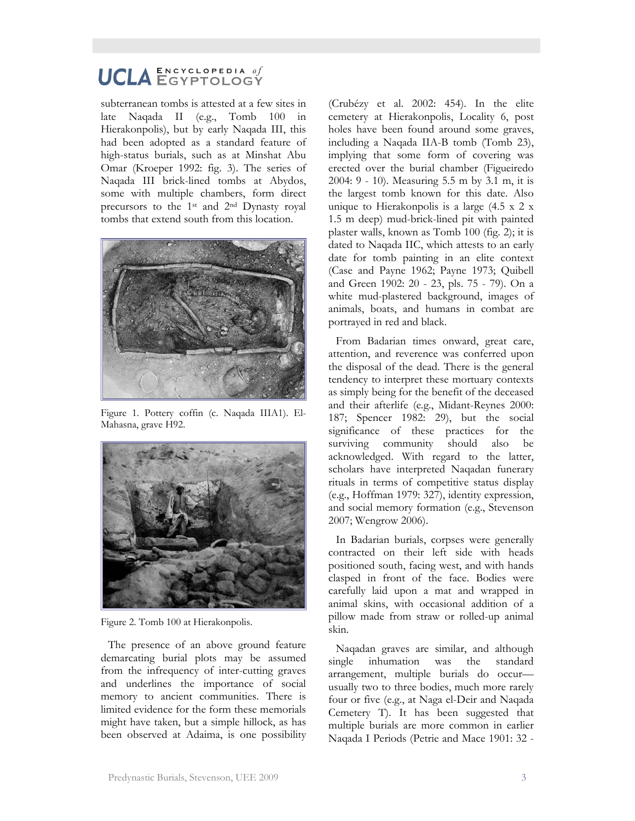subterranean tombs is attested at a few sites in late Naqada II (e.g., Tomb 100 in Hierakonpolis), but by early Naqada III, this had been adopted as a standard feature of high-status burials, such as at Minshat Abu Omar (Kroeper 1992: fig. 3). The series of Naqada III brick-lined tombs at Abydos, some with multiple chambers, form direct precursors to the 1st and 2nd Dynasty royal tombs that extend south from this location.



Figure 1. Pottery coffin (c. Naqada IIIA1). El-Mahasna, grave H92.



Figure 2. Tomb 100 at Hierakonpolis.

The presence of an above ground feature demarcating burial plots may be assumed from the infrequency of inter-cutting graves and underlines the importance of social memory to ancient communities. There is limited evidence for the form these memorials might have taken, but a simple hillock, as has been observed at Adaima, is one possibility

(Crubézy et al. 2002: 454). In the elite cemetery at Hierakonpolis, Locality 6, post holes have been found around some graves, including a Naqada IIA-B tomb (Tomb 23), implying that some form of covering was erected over the burial chamber (Figueiredo 2004: 9 - 10). Measuring 5.5 m by 3.1 m, it is the largest tomb known for this date. Also unique to Hierakonpolis is a large (4.5 x 2 x 1.5 m deep) mud-brick-lined pit with painted plaster walls, known as Tomb 100 (fig. 2); it is dated to Naqada IIC, which attests to an early date for tomb painting in an elite context (Case and Payne 1962; Payne 1973; Quibell and Green 1902: 20 - 23, pls. 75 - 79). On a white mud-plastered background, images of animals, boats, and humans in combat are portrayed in red and black.

From Badarian times onward, great care, attention, and reverence was conferred upon the disposal of the dead. There is the general tendency to interpret these mortuary contexts as simply being for the benefit of the deceased and their afterlife (e.g., Midant-Reynes 2000: 187; Spencer 1982: 29), but the social significance of these practices for the surviving community should also be acknowledged. With regard to the latter, scholars have interpreted Naqadan funerary rituals in terms of competitive status display (e.g., Hoffman 1979: 327), identity expression, and social memory formation (e.g., Stevenson 2007; Wengrow 2006).

In Badarian burials, corpses were generally contracted on their left side with heads positioned south, facing west, and with hands clasped in front of the face. Bodies were carefully laid upon a mat and wrapped in animal skins, with occasional addition of a pillow made from straw or rolled-up animal skin.

Naqadan graves are similar, and although single inhumation was the standard arrangement, multiple burials do occur usually two to three bodies, much more rarely four or five (e.g., at Naga el-Deir and Naqada Cemetery T). It has been suggested that multiple burials are more common in earlier Naqada I Periods (Petrie and Mace 1901: 32 -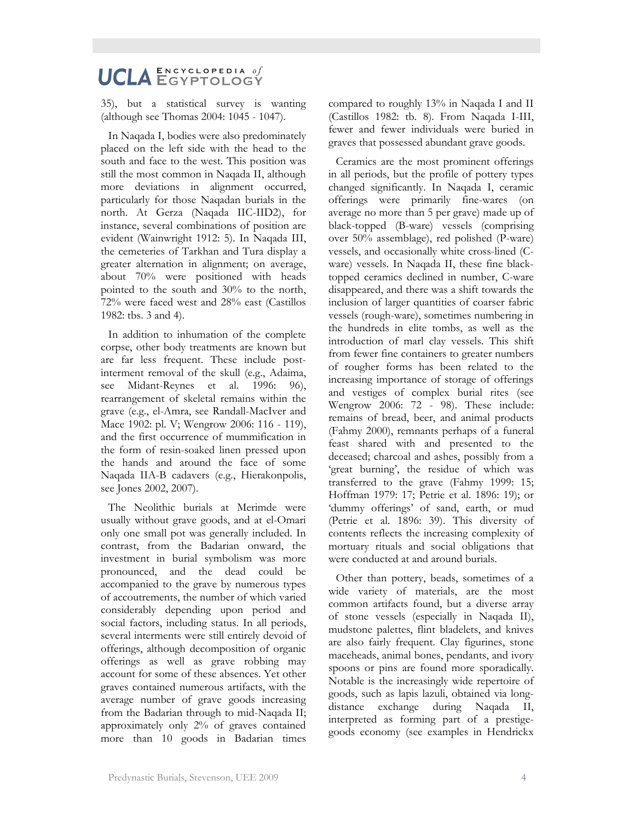35), but a statistical survey is wanting (although see Thomas 2004: 1045 - 1047).

In Naqada I, bodies were also predominately placed on the left side with the head to the south and face to the west. This position was still the most common in Naqada II, although more deviations in alignment occurred, particularly for those Naqadan burials in the north. At Gerza (Naqada IIC-IID2), for instance, several combinations of position are evident (Wainwright 1912: 5). In Naqada III, the cemeteries of Tarkhan and Tura display a greater alternation in alignment; on average, about 70% were positioned with heads pointed to the south and 30% to the north, 72% were faced west and 28% east (Castillos 1982: tbs. 3 and 4).

In addition to inhumation of the complete corpse, other body treatments are known but are far less frequent. These include postinterment removal of the skull (e.g., Adaima, see Midant-Reynes et al. 1996: 96), rearrangement of skeletal remains within the grave (e.g., el-Amra, see Randall-MacIver and Mace 1902: pl. V; Wengrow 2006: 116 - 119), and the first occurrence of mummification in the form of resin-soaked linen pressed upon the hands and around the face of some Naqada IIA-B cadavers (e.g., Hierakonpolis, see Jones 2002, 2007).

The Neolithic burials at Merimde were usually without grave goods, and at el-Omari only one small pot was generally included. In contrast, from the Badarian onward, the investment in burial symbolism was more pronounced, and the dead could be accompanied to the grave by numerous types of accoutrements, the number of which varied considerably depending upon period and social factors, including status. In all periods, several interments were still entirely devoid of offerings, although decomposition of organic offerings as well as grave robbing may account for some of these absences. Yet other graves contained numerous artifacts, with the average number of grave goods increasing from the Badarian through to mid-Naqada II; approximately only 2% of graves contained more than 10 goods in Badarian times

compared to roughly 13% in Naqada I and II (Castillos 1982: tb. 8). From Naqada I-III, fewer and fewer individuals were buried in graves that possessed abundant grave goods.

Ceramics are the most prominent offerings in all periods, but the profile of pottery types changed significantly. In Naqada I, ceramic offerings were primarily fine-wares (on average no more than 5 per grave) made up of black-topped (B-ware) vessels (comprising over 50% assemblage), red polished (P-ware) vessels, and occasionally white cross-lined (Cware) vessels. In Naqada II, these fine blacktopped ceramics declined in number, C-ware disappeared, and there was a shift towards the inclusion of larger quantities of coarser fabric vessels (rough-ware), sometimes numbering in the hundreds in elite tombs, as well as the introduction of marl clay vessels. This shift from fewer fine containers to greater numbers of rougher forms has been related to the increasing importance of storage of offerings and vestiges of complex burial rites (see Wengrow 2006: 72 - 98). These include: remains of bread, beer, and animal products (Fahmy 2000), remnants perhaps of a funeral feast shared with and presented to the deceased; charcoal and ashes, possibly from a 'great burning', the residue of which was transferred to the grave (Fahmy 1999: 15; Hoffman 1979: 17; Petrie et al. 1896: 19); or 'dummy offerings' of sand, earth, or mud (Petrie et al. 1896: 39). This diversity of contents reflects the increasing complexity of mortuary rituals and social obligations that were conducted at and around burials.

Other than pottery, beads, sometimes of a wide variety of materials, are the most common artifacts found, but a diverse array of stone vessels (especially in Naqada II), mudstone palettes, flint bladelets, and knives are also fairly frequent. Clay figurines, stone maceheads, animal bones, pendants, and ivory spoons or pins are found more sporadically. Notable is the increasingly wide repertoire of goods, such as lapis lazuli, obtained via longdistance exchange during Naqada II, interpreted as forming part of a prestigegoods economy (see examples in Hendrickx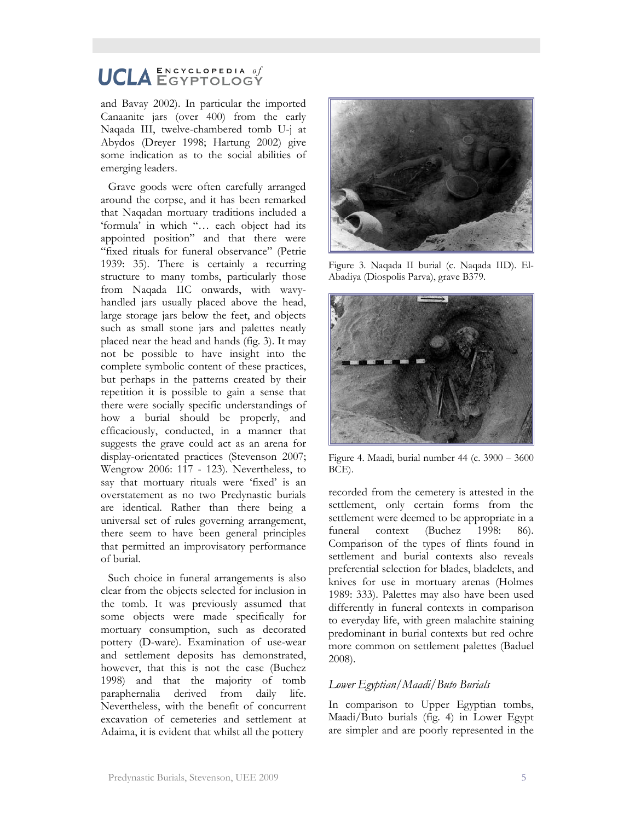and Bavay 2002). In particular the imported Canaanite jars (over 400) from the early Naqada III, twelve-chambered tomb U-j at Abydos (Dreyer 1998; Hartung 2002) give some indication as to the social abilities of emerging leaders.

Grave goods were often carefully arranged around the corpse, and it has been remarked that Naqadan mortuary traditions included a 'formula' in which "… each object had its appointed position" and that there were "fixed rituals for funeral observance" (Petrie 1939: 35). There is certainly a recurring structure to many tombs, particularly those from Naqada IIC onwards, with wavyhandled jars usually placed above the head, large storage jars below the feet, and objects such as small stone jars and palettes neatly placed near the head and hands (fig. 3). It may not be possible to have insight into the complete symbolic content of these practices, but perhaps in the patterns created by their repetition it is possible to gain a sense that there were socially specific understandings of how a burial should be properly, and efficaciously, conducted, in a manner that suggests the grave could act as an arena for display-orientated practices (Stevenson 2007; Wengrow 2006: 117 - 123). Nevertheless, to say that mortuary rituals were 'fixed' is an overstatement as no two Predynastic burials are identical. Rather than there being a universal set of rules governing arrangement, there seem to have been general principles that permitted an improvisatory performance of burial.

Such choice in funeral arrangements is also clear from the objects selected for inclusion in the tomb. It was previously assumed that some objects were made specifically for mortuary consumption, such as decorated pottery (D-ware). Examination of use-wear and settlement deposits has demonstrated, however, that this is not the case (Buchez 1998) and that the majority of tomb paraphernalia derived from daily life. Nevertheless, with the benefit of concurrent excavation of cemeteries and settlement at Adaima, it is evident that whilst all the pottery



Figure 3. Naqada II burial (c. Naqada IID). El-Abadiya (Diospolis Parva), grave B379.



Figure 4. Maadi, burial number 44 (c. 3900 – 3600 BCE).

recorded from the cemetery is attested in the settlement, only certain forms from the settlement were deemed to be appropriate in a funeral context (Buchez 1998: 86). Comparison of the types of flints found in settlement and burial contexts also reveals preferential selection for blades, bladelets, and knives for use in mortuary arenas (Holmes 1989: 333). Palettes may also have been used differently in funeral contexts in comparison to everyday life, with green malachite staining predominant in burial contexts but red ochre more common on settlement palettes (Baduel 2008).

### *Lower Egyptian/Maadi/Buto Burials*

In comparison to Upper Egyptian tombs, Maadi/Buto burials (fig. 4) in Lower Egypt are simpler and are poorly represented in the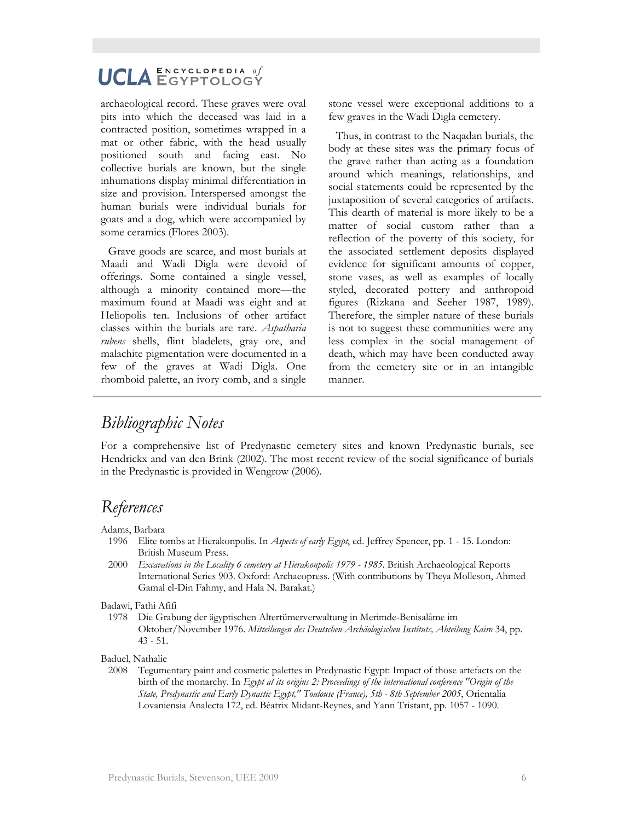archaeological record. These graves were oval pits into which the deceased was laid in a contracted position, sometimes wrapped in a mat or other fabric, with the head usually positioned south and facing east. No collective burials are known, but the single inhumations display minimal differentiation in size and provision. Interspersed amongst the human burials were individual burials for goats and a dog, which were accompanied by some ceramics (Flores 2003).

Grave goods are scarce, and most burials at Maadi and Wadi Digla were devoid of offerings. Some contained a single vessel, although a minority contained more—the maximum found at Maadi was eight and at Heliopolis ten. Inclusions of other artifact classes within the burials are rare. *Aspatharia rubens* shells, flint bladelets, gray ore, and malachite pigmentation were documented in a few of the graves at Wadi Digla. One rhomboid palette, an ivory comb, and a single stone vessel were exceptional additions to a few graves in the Wadi Digla cemetery.

Thus, in contrast to the Naqadan burials, the body at these sites was the primary focus of the grave rather than acting as a foundation around which meanings, relationships, and social statements could be represented by the juxtaposition of several categories of artifacts. This dearth of material is more likely to be a matter of social custom rather than a reflection of the poverty of this society, for the associated settlement deposits displayed evidence for significant amounts of copper, stone vases, as well as examples of locally styled, decorated pottery and anthropoid figures (Rizkana and Seeher 1987, 1989). Therefore, the simpler nature of these burials is not to suggest these communities were any less complex in the social management of death, which may have been conducted away from the cemetery site or in an intangible manner.

# *Bibliographic Notes*

For a comprehensive list of Predynastic cemetery sites and known Predynastic burials, see Hendrickx and van den Brink (2002). The most recent review of the social significance of burials in the Predynastic is provided in Wengrow (2006).

# *References*

Adams, Barbara

- 1996 Elite tombs at Hierakonpolis. In *Aspects of early Egypt*, ed. Jeffrey Spencer, pp. 1 15. London: British Museum Press.
- 2000 *Excavations in the Locality 6 cemetery at Hierakonpolis 1979 1985*. British Archaeological Reports International Series 903. Oxford: Archaeopress. (With contributions by Theya Molleson, Ahmed Gamal el-Din Fahmy, and Hala N. Barakat.)

Badawi, Fathi Afifi

1978 Die Grabung der ägyptischen Altertümerverwaltung in Merimde-Benisalâme im Oktober/November 1976. *Mitteilungen des Deutschen Archäologischen Instituts, Abteilung Kairo* 34, pp. 43 - 51.

Baduel, Nathalie

2008 Tegumentary paint and cosmetic palettes in Predynastic Egypt: Impact of those artefacts on the birth of the monarchy. In *Egypt at its origins 2: Proceedings of the international conference "Origin of the State, Predynastic and Early Dynastic Egypt," Toulouse (France), 5th - 8th September 2005*, Orientalia Lovaniensia Analecta 172, ed. Béatrix Midant-Reynes, and Yann Tristant, pp. 1057 - 1090.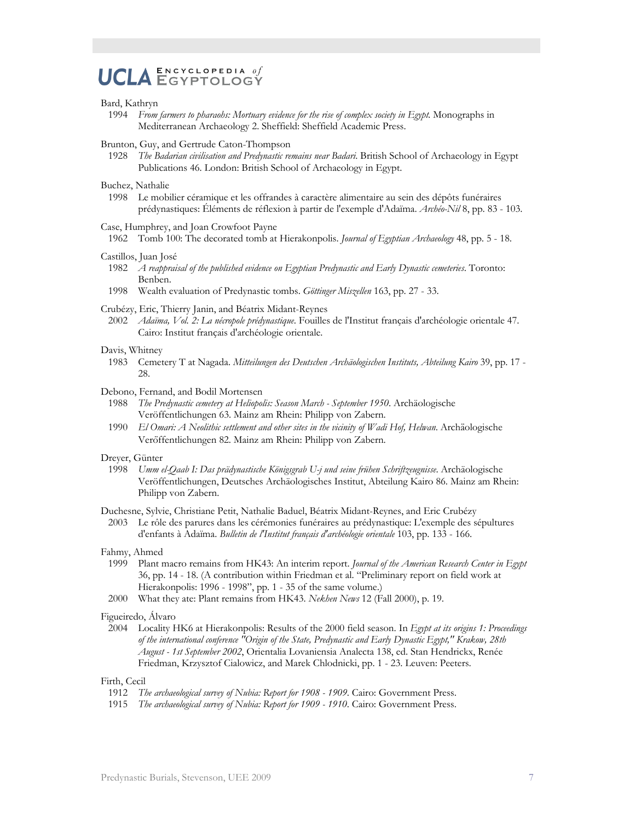### UCLA ENCYCLOPEDIA of  $ENCYCLOPEDIA$  of

#### Bard, Kathryn

- 1994 *From farmers to pharaohs: Mortuary evidence for the rise of complex society in Egypt*. Monographs in Mediterranean Archaeology 2. Sheffield: Sheffield Academic Press.
- Brunton, Guy, and Gertrude Caton-Thompson
	- 1928 *The Badarian civilisation and Predynastic remains near Badari*. British School of Archaeology in Egypt Publications 46. London: British School of Archaeology in Egypt.

#### Buchez, Nathalie

1998 Le mobilier céramique et les offrandes à caractère alimentaire au sein des dépôts funéraires prédynastiques: Éléments de réflexion à partir de l'exemple d'Adaïma. *Archéo-Nil* 8, pp. 83 - 103.

#### Case, Humphrey, and Joan Crowfoot Payne

1962 Tomb 100: The decorated tomb at Hierakonpolis. *Journal of Egyptian Archaeology* 48, pp. 5 - 18.

#### Castillos, Juan José

- 1982 *A reappraisal of the published evidence on Egyptian Predynastic and Early Dynastic cemeteries*. Toronto: Benben.
- 1998 Wealth evaluation of Predynastic tombs. *Göttinger Miszellen* 163, pp. 27 33.

#### Crubézy, Eric, Thierry Janin, and Béatrix Midant-Reynes

2002 *Adaïma, Vol. 2: La nécropole prédynastique*. Fouilles de l'Institut français d'archéologie orientale 47. Cairo: Institut français d'archéologie orientale.

#### Davis, Whitney

1983 Cemetery T at Nagada. *Mitteilungen des Deutschen Archäologischen Instituts, Abteilung Kairo* 39, pp. 17 - 28.

#### Debono, Fernand, and Bodil Mortensen

- 1988 *The Predynastic cemetery at Heliopolis: Season March September 1950*. Archäologische Veröffentlichungen 63. Mainz am Rhein: Philipp von Zabern.
- 1990 *El Omari: A Neolithic settlement and other sites in the vicinity of Wadi Hof, Helwan. Archäologische* Veröffentlichungen 82. Mainz am Rhein: Philipp von Zabern.

#### Dreyer, Günter

- 1998 *Umm el-Qaab I: Das prädynastische Königsgrab U-j und seine frühen Schriftzeugnisse*. Archäologische Veröffentlichungen, Deutsches Archäologisches Institut, Abteilung Kairo 86. Mainz am Rhein: Philipp von Zabern.
- Duchesne, Sylvie, Christiane Petit, Nathalie Baduel, Béatrix Midant-Reynes, and Eric Crubézy
- 2003 Le rôle des parures dans les cérémonies funéraires au prédynastique: L'exemple des sépultures d'enfants à Adaïma. *Bulletin de l'Institut français d'archéologie orientale* 103, pp. 133 - 166.

#### Fahmy, Ahmed

- 1999 Plant macro remains from HK43: An interim report. *Journal of the American Research Center in Egypt* 36, pp. 14 - 18. (A contribution within Friedman et al. "Preliminary report on field work at Hierakonpolis: 1996 - 1998", pp. 1 - 35 of the same volume.)
- 2000 What they ate: Plant remains from HK43. *Nekhen News* 12 (Fall 2000), p. 19.

#### Figueiredo, Álvaro

2004 Locality HK6 at Hierakonpolis: Results of the 2000 field season. In *Egypt at its origins 1: Proceedings of the international conference "Origin of the State, Predynastic and Early Dynastic Egypt," Krakow, 28th August - 1st September 2002*, Orientalia Lovaniensia Analecta 138, ed. Stan Hendrickx, Renée Friedman, Krzysztof Cialowicz, and Marek Chlodnicki, pp. 1 - 23. Leuven: Peeters.

#### Firth, Cecil

- 1912 *The archaeological survey of Nubia: Report for 1908 1909*. Cairo: Government Press.
- 1915 *The archaeological survey of Nubia: Report for 1909 1910*. Cairo: Government Press.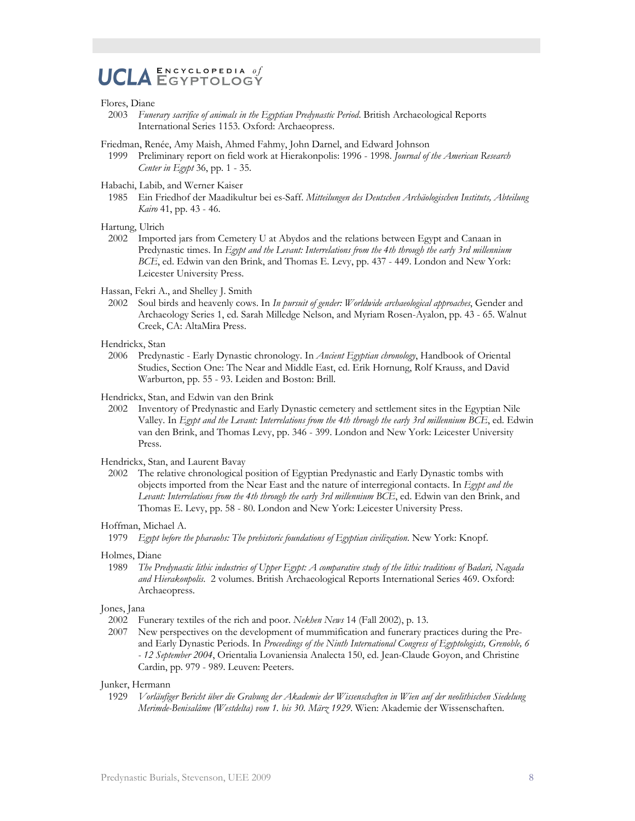### ENCYCLOPEDIA of **UCI A**

#### Flores, Diane

- 2003 *Funerary sacrifice of animals in the Egyptian Predynastic Period*. British Archaeological Reports International Series 1153. Oxford: Archaeopress.
- Friedman, Renée, Amy Maish, Ahmed Fahmy, John Darnel, and Edward Johnson
	- 1999 Preliminary report on field work at Hierakonpolis: 1996 1998. *Journal of the American Research Center in Egypt* 36, pp. 1 - 35.
- Habachi, Labib, and Werner Kaiser
- 1985 Ein Friedhof der Maadikultur bei es-Saff. *Mitteilungen des Deutschen Archäologischen Instituts, Abteilung Kairo* 41, pp. 43 - 46.
- Hartung, Ulrich
	- 2002 Imported jars from Cemetery U at Abydos and the relations between Egypt and Canaan in Predynastic times. In *Egypt and the Levant: Interrelations from the 4th through the early 3rd millennium BCE*, ed. Edwin van den Brink, and Thomas E. Levy, pp. 437 - 449. London and New York: Leicester University Press.

Hassan, Fekri A., and Shelley J. Smith

- 2002 Soul birds and heavenly cows. In *In pursuit of gender: Worldwide archaeological approaches*, Gender and Archaeology Series 1, ed. Sarah Milledge Nelson, and Myriam Rosen-Ayalon, pp. 43 - 65. Walnut Creek, CA: AltaMira Press.
- Hendrickx, Stan
- 2006 Predynastic Early Dynastic chronology. In *Ancient Egyptian chronology*, Handbook of Oriental Studies, Section One: The Near and Middle East, ed. Erik Hornung, Rolf Krauss, and David Warburton, pp. 55 - 93. Leiden and Boston: Brill.
- Hendrickx, Stan, and Edwin van den Brink
	- 2002 Inventory of Predynastic and Early Dynastic cemetery and settlement sites in the Egyptian Nile Valley. In *Egypt and the Levant: Interrelations from the 4th through the early 3rd millennium BCE*, ed. Edwin van den Brink, and Thomas Levy, pp. 346 - 399. London and New York: Leicester University Press.

#### Hendrickx, Stan, and Laurent Bavay

2002 The relative chronological position of Egyptian Predynastic and Early Dynastic tombs with objects imported from the Near East and the nature of interregional contacts. In *Egypt and the Levant: Interrelations from the 4th through the early 3rd millennium BCE*, ed. Edwin van den Brink, and Thomas E. Levy, pp. 58 - 80. London and New York: Leicester University Press.

#### Hoffman, Michael A.

1979 *Egypt before the pharaohs: The prehistoric foundations of Egyptian civilization*. New York: Knopf.

#### Holmes, Diane

1989 *The Predynastic lithic industries of Upper Egypt: A comparative study of the lithic traditions of Badari, Nagada and Hierakonpolis*. 2 volumes. British Archaeological Reports International Series 469. Oxford: Archaeopress.

#### Jones, Jana

- 2002 Funerary textiles of the rich and poor. *Nekhen News* 14 (Fall 2002), p. 13.
- 2007 New perspectives on the development of mummification and funerary practices during the Preand Early Dynastic Periods. In *Proceedings of the Ninth International Congress of Egyptologists, Grenoble, 6 - 12 September 2004*, Orientalia Lovaniensia Analecta 150, ed. Jean-Claude Goyon, and Christine Cardin, pp. 979 - 989. Leuven: Peeters.

Junker, Hermann

1929 *Vorläufiger Bericht über die Grabung der Akademie der Wissenschaften in Wien auf der neolithischen Siedelung Merimde-Benisalâme (Westdelta) vom 1. bis 30. März 1929*. Wien: Akademie der Wissenschaften.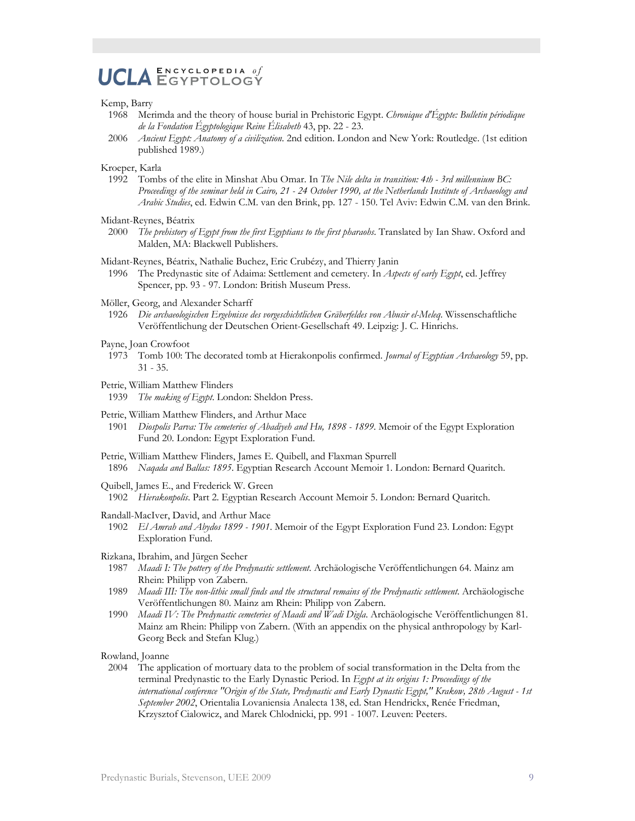### $ENCYCLOPEDIA$  of **UCLA ENCYCLOPEDIA of**

#### Kemp, Barry

- 1968 Merimda and the theory of house burial in Prehistoric Egypt. *Chronique d'Égypte: Bulletin périodique de la Fondation Égyptologique Reine Élisabeth* 43, pp. 22 - 23.
- 2006 *Ancient Egypt: Anatomy of a civilization*. 2nd edition. London and New York: Routledge. (1st edition published 1989.)

#### Kroeper, Karla

1992 Tombs of the elite in Minshat Abu Omar. In *The Nile delta in transition: 4th - 3rd millennium BC: Proceedings of the seminar held in Cairo, 21 - 24 October 1990, at the Netherlands Institute of Archaeology and Arabic Studies*, ed. Edwin C.M. van den Brink, pp. 127 - 150. Tel Aviv: Edwin C.M. van den Brink.

#### Midant-Reynes, Béatrix

2000 *The prehistory of Egypt from the first Egyptians to the first pharaohs*. Translated by Ian Shaw. Oxford and Malden, MA: Blackwell Publishers.

#### Midant-Reynes, Béatrix, Nathalie Buchez, Eric Crubézy, and Thierry Janin

1996 The Predynastic site of Adaima: Settlement and cemetery. In *Aspects of early Egypt*, ed. Jeffrey Spencer, pp. 93 - 97. London: British Museum Press.

#### Möller, Georg, and Alexander Scharff

1926 *Die archaeologischen Ergebnisse des vorgeschichtlichen Gräberfeldes von Abusir el-Meleq*. Wissenschaftliche Veröffentlichung der Deutschen Orient-Gesellschaft 49. Leipzig: J. C. Hinrichs.

#### Payne, Joan Crowfoot

1973 Tomb 100: The decorated tomb at Hierakonpolis confirmed. *Journal of Egyptian Archaeology* 59, pp. 31 - 35.

#### Petrie, William Matthew Flinders

1939 *The making of Egypt*. London: Sheldon Press.

#### Petrie, William Matthew Flinders, and Arthur Mace

1901 *Diospolis Parva: The cemeteries of Abadiyeh and Hu, 1898 - 1899*. Memoir of the Egypt Exploration Fund 20. London: Egypt Exploration Fund.

#### Petrie, William Matthew Flinders, James E. Quibell, and Flaxman Spurrell

1896 *Naqada and Ballas: 1895*. Egyptian Research Account Memoir 1. London: Bernard Quaritch.

#### Quibell, James E., and Frederick W. Green

1902 *Hierakonpolis*. Part 2. Egyptian Research Account Memoir 5. London: Bernard Quaritch.

#### Randall-MacIver, David, and Arthur Mace

1902 *El Amrah and Abydos 1899 - 1901*. Memoir of the Egypt Exploration Fund 23. London: Egypt Exploration Fund.

#### Rizkana, Ibrahim, and Jürgen Seeher

- 1987 *Maadi I: The pottery of the Predynastic settlement*. Archäologische Veröffentlichungen 64. Mainz am Rhein: Philipp von Zabern.
- 1989 *Maadi III: The non-lithic small finds and the structural remains of the Predynastic settlement*. Archäologische Veröffentlichungen 80. Mainz am Rhein: Philipp von Zabern.
- 1990 *Maadi IV: The Predynastic cemeteries of Maadi and Wadi Digla*. Archäologische Veröffentlichungen 81. Mainz am Rhein: Philipp von Zabern. (With an appendix on the physical anthropology by Karl-Georg Beck and Stefan Klug.)

#### Rowland, Joanne

2004 The application of mortuary data to the problem of social transformation in the Delta from the terminal Predynastic to the Early Dynastic Period. In *Egypt at its origins 1: Proceedings of the international conference "Origin of the State, Predynastic and Early Dynastic Egypt," Krakow, 28th August - 1st September 2002*, Orientalia Lovaniensia Analecta 138, ed. Stan Hendrickx, Renée Friedman, Krzysztof Cialowicz, and Marek Chlodnicki, pp. 991 - 1007. Leuven: Peeters.